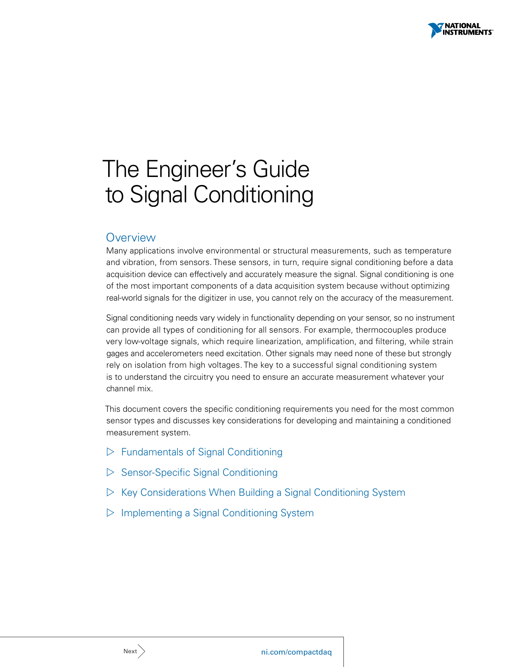

# <span id="page-0-0"></span>The Engineer's Guide to Signal Conditioning

# **Overview**

Many applications involve environmental or structural measurements, such as temperature and vibration, from sensors. These sensors, in turn, require signal conditioning before a data acquisition device can effectively and accurately measure the signal. Signal conditioning is one of the most important components of a data acquisition system because without optimizing real-world signals for the digitizer in use, you cannot rely on the accuracy of the measurement.

Signal conditioning needs vary widely in functionality depending on your sensor, so no instrument can provide all types of conditioning for all sensors. For example, thermocouples produce very low-voltage signals, which require linearization, amplification, and filtering, while strain gages and accelerometers need excitation. Other signals may need none of these but strongly rely on isolation from high voltages. The key to a successful signal conditioning system is to understand the circuitry you need to ensure an accurate measurement whatever your channel mix.

This document covers the specific conditioning requirements you need for the most common sensor types and discusses key considerations for developing and maintaining a conditioned measurement system.

- $\triangleright$  [Fundamentals of Signal Conditioning](#page-1-0)
- $\triangleright$  [Sensor-Specific Signal Conditioning](#page-3-0)
- $\triangleright$  [Key Considerations When Building a Signal Conditioning System](#page-8-0)
- $\triangleright$  [Implementing a Signal Conditioning System](#page-10-0)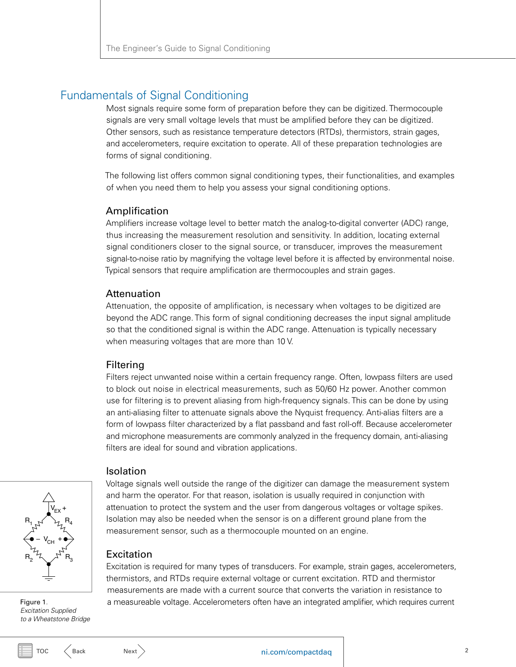# <span id="page-1-1"></span><span id="page-1-0"></span>Fundamentals of Signal Conditioning

Most signals require some form of preparation before they can be digitized. Thermocouple signals are very small voltage levels that must be amplified before they can be digitized. Other sensors, such as resistance temperature detectors (RTDs), thermistors, strain gages, and accelerometers, require excitation to operate. All of these preparation technologies are forms of signal conditioning.

The following list offers common signal conditioning types, their functionalities, and examples of when you need them to help you assess your signal conditioning options.

# Amplification

Amplifiers increase voltage level to better match the analog-to-digital converter (ADC) range, thus increasing the measurement resolution and sensitivity. In addition, locating external signal conditioners closer to the signal source, or transducer, improves the measurement signal-to-noise ratio by magnifying the voltage level before it is affected by environmental noise. Typical sensors that require amplification are thermocouples and strain gages.

# **Attenuation**

Attenuation, the opposite of amplification, is necessary when voltages to be digitized are beyond the ADC range. This form of signal conditioning decreases the input signal amplitude so that the conditioned signal is within the ADC range. Attenuation is typically necessary when measuring voltages that are more than 10 V.

# Filtering

Filters reject unwanted noise within a certain frequency range. Often, lowpass filters are used to block out noise in electrical measurements, such as 50/60 Hz power. Another common use for filtering is to prevent aliasing from high-frequency signals. This can be done by using an anti-aliasing filter to attenuate signals above the Nyquist frequency. Anti-alias filters are a form of lowpass filter characterized by a flat passband and fast roll-off. Because accelerometer and microphone measurements are commonly analyzed in the frequency domain, anti-aliasing filters are ideal for sound and vibration applications.

# Isolation

 $V_{CH}$  +  $R_{1}$  $R_{2}$  $B_{4}$  $\mathsf{R}_3$  $V_{EX}$  + –

Figure 1*. Excitation Supplied to a Wheatstone Bridge*

Voltage signals well outside the range of the digitizer can damage the measurement system and harm the operator. For that reason, isolation is usually required in conjunction with attenuation to protect the system and the user from dangerous voltages or voltage spikes. Isolation may also be needed when the sensor is on a different ground plane from the measurement sensor, such as a thermocouple mounted on an engine.

# **Excitation**

Excitation is required for many types of transducers. For example, strain gages, accelerometers, thermistors, and RTDs require external voltage or current excitation. RTD and thermistor measurements are made with a current source that converts the variation in resistance to a measureable voltage. Accelerometers often have an integrated amplifier, which requires current

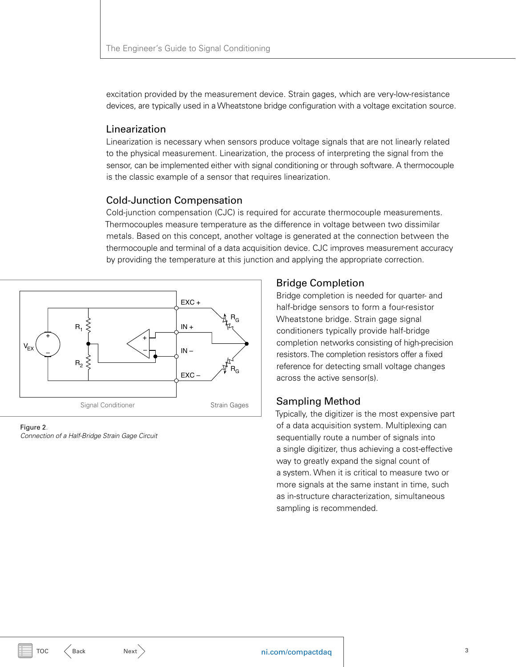<span id="page-2-0"></span>excitation provided by the measurement device. Strain gages, which are very-low-resistance devices, are typically used in a Wheatstone bridge configuration with a voltage excitation source.

# Linearization

Linearization is necessary when sensors produce voltage signals that are not linearly related to the physical measurement. Linearization, the process of interpreting the signal from the sensor, can be implemented either with signal conditioning or through software. A thermocouple is the classic example of a sensor that requires linearization.

# Cold-Junction Compensation

Cold-junction compensation (CJC) is required for accurate thermocouple measurements. Thermocouples measure temperature as the difference in voltage between two dissimilar metals. Based on this concept, another voltage is generated at the connection between the thermocouple and terminal of a data acquisition device. CJC improves measurement accuracy by providing the temperature at this junction and applying the appropriate correction.



Figure 2*. Connection of a Half-Bridge Strain Gage Circuit*

# Bridge Completion

Bridge completion is needed for quarter- and half-bridge sensors to form a four-resistor Wheatstone bridge. Strain gage signal conditioners typically provide half-bridge completion networks consisting of high-precision resistors. The completion resistors offer a fixed reference for detecting small voltage changes across the active sensor(s).

# Sampling Method

Typically, the digitizer is the most expensive part of a data acquisition system. Multiplexing can sequentially route a number of signals into a single digitizer, thus achieving a cost-effective way to greatly expand the signal count of a system. When it is critical to measure two or more signals at the same instant in time, such as in-structure characterization, simultaneous sampling is recommended.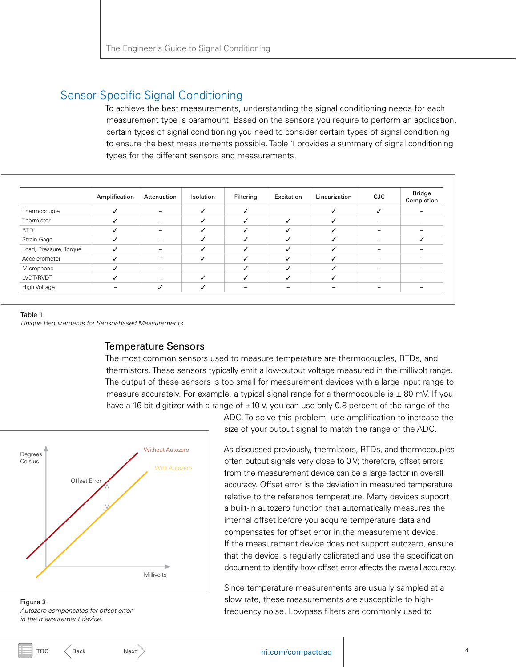# <span id="page-3-1"></span><span id="page-3-0"></span>Sensor-Specific Signal Conditioning

To achieve the best measurements, understanding the signal conditioning needs for each measurement type is paramount. Based on the sensors you require to perform an application, certain types of signal conditioning you need to consider certain types of signal conditioning to ensure the best measurements possible. Table 1 provides a summary of signal conditioning types for the different sensors and measurements.

|                        | Amplification | Attenuation              | Isolation | Filtering | Excitation | Linearization | CJC | Bridge<br>Completion |
|------------------------|---------------|--------------------------|-----------|-----------|------------|---------------|-----|----------------------|
| Thermocouple           |               | $\qquad \qquad$          |           |           |            |               |     |                      |
| Thermistor             |               | $\overline{\phantom{0}}$ |           |           |            |               |     |                      |
| <b>RTD</b>             |               | $\overline{\phantom{a}}$ |           |           |            |               |     |                      |
| Strain Gage            |               | $\overline{\phantom{a}}$ |           |           |            |               |     |                      |
| Load, Pressure, Torque |               | $\overline{\phantom{a}}$ |           |           |            |               |     |                      |
| Accelerometer          |               |                          |           |           | J          |               |     |                      |
| Microphone             |               |                          |           |           | u          |               |     |                      |
| LVDT/RVDT              |               |                          |           |           | J          |               |     |                      |
| High Voltage           |               | ℐ                        |           |           |            |               |     |                      |

#### Table 1*.*

*Unique Requirements for Sensor-Based Measurements* 

# Temperature Sensors

The most common sensors used to measure temperature are thermocouples, RTDs, and thermistors. These sensors typically emit a low-output voltage measured in the millivolt range. The output of these sensors is too small for measurement devices with a large input range to measure accurately. For example, a typical signal range for a thermocouple is  $\pm$  80 mV. If you have a 16-bit digitizer with a range of  $\pm 10$  V, you can use only 0.8 percent of the range of the



Figure 3*. Autozero compensates for offset error in the measurement device.*

ADC. To solve this problem, use amplification to increase the size of your output signal to match the range of the ADC.

As discussed previously, thermistors, RTDs, and thermocouples often output signals very close to 0 V; therefore, offset errors from the measurement device can be a large factor in overall accuracy. Offset error is the deviation in measured temperature relative to the reference temperature. Many devices support a built-in autozero function that automatically measures the internal offset before you acquire temperature data and compensates for offset error in the measurement device. If the measurement device does not support autozero, ensure that the device is regularly calibrated and use the specification document to identify how offset error affects the overall accuracy.

Since temperature measurements are usually sampled at a slow rate, these measurements are susceptible to highfrequency noise. Lowpass filters are commonly used to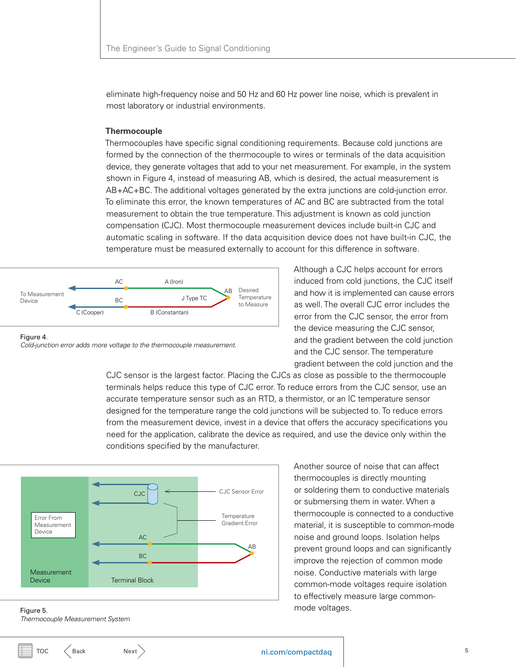<span id="page-4-0"></span>eliminate high-frequency noise and 50 Hz and 60 Hz power line noise, which is prevalent in most laboratory or industrial environments.

#### **Thermocouple**

Thermocouples have specific signal conditioning requirements. Because cold junctions are formed by the connection of the thermocouple to wires or terminals of the data acquisition device, they generate voltages that add to your net measurement. For example, in the system shown in Figure 4, instead of measuring AB, which is desired, the actual measurement is AB+AC+BC. The additional voltages generated by the extra junctions are cold-junction error. To eliminate this error, the known temperatures of AC and BC are subtracted from the total measurement to obtain the true temperature. This adjustment is known as cold junction compensation (CJC). Most thermocouple measurement devices include built-in CJC and automatic scaling in software. If the data acquisition device does not have built-in CJC, the temperature must be measured externally to account for this difference in software.



Figure 4*. Cold-junction error adds more voltage to the thermocouple measurement.* Although a CJC helps account for errors induced from cold junctions, the CJC itself and how it is implemented can cause errors as well. The overall CJC error includes the error from the CJC sensor, the error from the device measuring the CJC sensor, and the gradient between the cold junction and the CJC sensor. The temperature gradient between the cold junction and the

CJC sensor is the largest factor. Placing the CJCs as close as possible to the thermocouple terminals helps reduce this type of CJC error. To reduce errors from the CJC sensor, use an accurate temperature sensor such as an RTD, a thermistor, or an IC temperature sensor designed for the temperature range the cold junctions will be subjected to. To reduce errors from the measurement device, invest in a device that offers the accuracy specifications you need for the application, calibrate the device as required, and use the device only within the conditions specified by the manufacturer.



Another source of noise that can affect thermocouples is directly mounting or soldering them to conductive materials or submersing them in water. When a thermocouple is connected to a conductive material, it is susceptible to common-mode noise and ground loops. Isolation helps prevent ground loops and can significantly improve the rejection of common mode noise. Conductive materials with large common-mode voltages require isolation to effectively measure large commonmode voltages.

Figure 5*. Thermocouple Measurement System*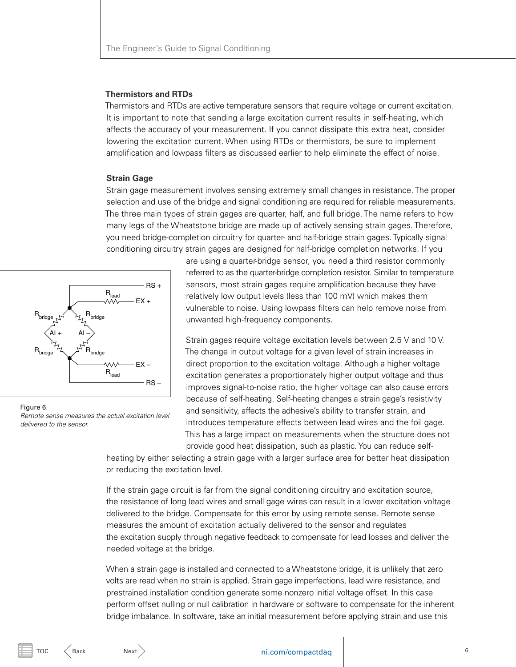#### <span id="page-5-0"></span>**Thermistors and RTDs**

Thermistors and RTDs are active temperature sensors that require voltage or current excitation. It is important to note that sending a large excitation current results in self-heating, which affects the accuracy of your measurement. If you cannot dissipate this extra heat, consider lowering the excitation current. When using RTDs or thermistors, be sure to implement amplification and lowpass filters as discussed earlier to help eliminate the effect of noise.

#### **Strain Gage**

Strain gage measurement involves sensing extremely small changes in resistance. The proper selection and use of the bridge and signal conditioning are required for reliable measurements. The three main types of strain gages are quarter, half, and full bridge. The name refers to how many legs of the Wheatstone bridge are made up of actively sensing strain gages. Therefore, you need bridge-completion circuitry for quarter- and half-bridge strain gages. Typically signal conditioning circuitry strain gages are designed for half-bridge completion networks. If you



Figure 6*. Remote sense measures the actual excitation level delivered to the sensor.*

are using a quarter-bridge sensor, you need a third resistor commonly referred to as the quarter-bridge completion resistor. Similar to temperature sensors, most strain gages require amplification because they have relatively low output levels (less than 100 mV) which makes them vulnerable to noise. Using lowpass filters can help remove noise from unwanted high-frequency components.

Strain gages require voltage excitation levels between 2.5 V and 10 V. The change in output voltage for a given level of strain increases in direct proportion to the excitation voltage. Although a higher voltage excitation generates a proportionately higher output voltage and thus improves signal-to-noise ratio, the higher voltage can also cause errors because of self-heating. Self-heating changes a strain gage's resistivity and sensitivity, affects the adhesive's ability to transfer strain, and introduces temperature effects between lead wires and the foil gage. This has a large impact on measurements when the structure does not provide good heat dissipation, such as plastic. You can reduce self-

heating by either selecting a strain gage with a larger surface area for better heat dissipation or reducing the excitation level.

If the strain gage circuit is far from the signal conditioning circuitry and excitation source, the resistance of long lead wires and small gage wires can result in a lower excitation voltage delivered to the bridge. Compensate for this error by using remote sense. Remote sense measures the amount of excitation actually delivered to the sensor and regulates the excitation supply through negative feedback to compensate for lead losses and deliver the needed voltage at the bridge.

When a strain gage is installed and connected to a Wheatstone bridge, it is unlikely that zero volts are read when no strain is applied. Strain gage imperfections, lead wire resistance, and prestrained installation condition generate some nonzero initial voltage offset. In this case perform offset nulling or null calibration in hardware or software to compensate for the inherent bridge imbalance. In software, take an initial measurement before applying strain and use this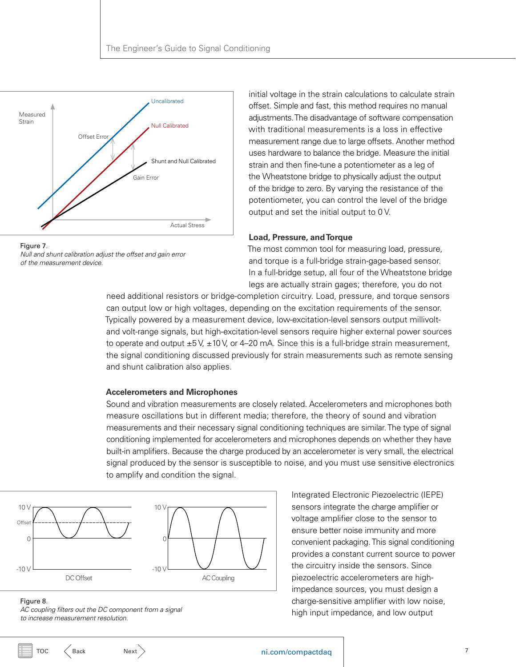<span id="page-6-0"></span>



initial voltage in the strain calculations to calculate strain offset. Simple and fast, this method requires no manual adjustments. The disadvantage of software compensation with traditional measurements is a loss in effective measurement range due to large offsets. Another method uses hardware to balance the bridge. Measure the initial strain and then fine-tune a potentiometer as a leg of the Wheatstone bridge to physically adjust the output of the bridge to zero. By varying the resistance of the potentiometer, you can control the level of the bridge output and set the initial output to 0 V.

#### **Load, Pressure, and Torque**

The most common tool for measuring load, pressure, and torque is a full-bridge strain-gage-based sensor. In a full-bridge setup, all four of the Wheatstone bridge legs are actually strain gages; therefore, you do not

need additional resistors or bridge-completion circuitry. Load, pressure, and torque sensors can output low or high voltages, depending on the excitation requirements of the sensor. Typically powered by a measurement device, low-excitation-level sensors output millivoltand volt-range signals, but high-excitation-level sensors require higher external power sources to operate and output  $\pm 5$  V,  $\pm 10$  V, or 4–20 mA. Since this is a full-bridge strain measurement, the signal conditioning discussed previously for strain measurements such as remote sensing and shunt calibration also applies.

#### **Accelerometers and Microphones**

Sound and vibration measurements are closely related. Accelerometers and microphones both measure oscillations but in different media; therefore, the theory of sound and vibration measurements and their necessary signal conditioning techniques are similar. The type of signal conditioning implemented for accelerometers and microphones depends on whether they have built-in amplifiers. Because the charge produced by an accelerometer is very small, the electrical signal produced by the sensor is susceptible to noise, and you must use sensitive electronics to amplify and condition the signal.



Integrated Electronic Piezoelectric (IEPE) sensors integrate the charge amplifier or voltage amplifier close to the sensor to ensure better noise immunity and more convenient packaging. This signal conditioning provides a constant current source to power the circuitry inside the sensors. Since piezoelectric accelerometers are highimpedance sources, you must design a charge-sensitive amplifier with low noise, high input impedance, and low output

#### Figure 8*.*

*AC coupling filters out the DC component from a signal to increase measurement resolution.*

# [TOC](#page-0-0)  $\left\langle \begin{array}{ccc}{{\sf Back}} & &{{\sf Next}}\end{array}\right\rangle$  $\left\langle \begin{array}{ccc}{{\sf Back}} & &{{\sf Next}}\end{array}\right\rangle$  $\left\langle \begin{array}{ccc}{{\sf Back}} & &{{\sf Next}}\end{array}\right\rangle$  $\left\langle \begin{array}{ccc}{{\sf Back}} & &{{\sf Next}}\end{array}\right\rangle$  $\left\langle \begin{array}{ccc}{{\sf Back}} & &{{\sf Next}}\end{array}\right\rangle$  and the nitron  ${\sf nicom}/{{\sf compact}{{\sf dag}}}$  and  ${\sf nicom}/{{\sf connected}{{\sf dgl}}}$  and  ${\sf nicom}/{{\sf connected}{{\sf dgl}}}$  and  ${\sf nicom}/{{\sf connected}{{\sf dgl}}}$  and  ${\sf nicom}/{{\sf connected}{{\sf dgl}}}$  and  ${\sf nicom}/{{\sf connected}{{\sf dgl}}}$  and  ${\sf nicom}/{{\sf connected}{{\sf dgl}}}$  and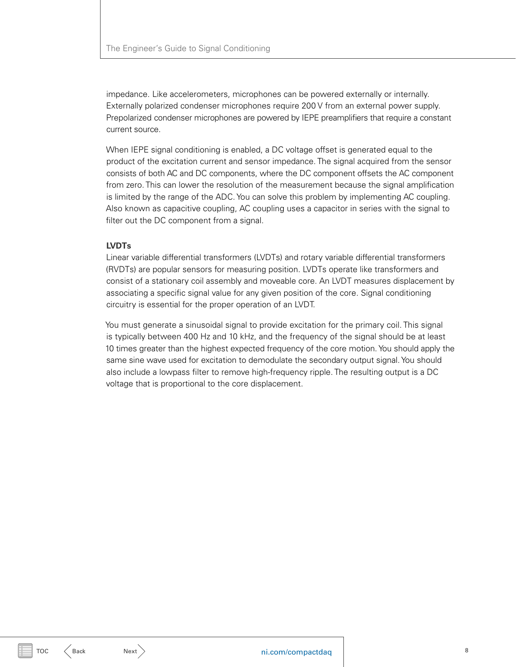<span id="page-7-0"></span>impedance. Like accelerometers, microphones can be powered externally or internally. Externally polarized condenser microphones require 200 V from an external power supply. Prepolarized condenser microphones are powered by IEPE preamplifiers that require a constant current source.

When IEPE signal conditioning is enabled, a DC voltage offset is generated equal to the product of the excitation current and sensor impedance. The signal acquired from the sensor consists of both AC and DC components, where the DC component offsets the AC component from zero. This can lower the resolution of the measurement because the signal amplification is limited by the range of the ADC. You can solve this problem by implementing AC coupling. Also known as capacitive coupling, AC coupling uses a capacitor in series with the signal to filter out the DC component from a signal.

## **LVDTs**

Linear variable differential transformers (LVDTs) and rotary variable differential transformers (RVDTs) are popular sensors for measuring position. LVDTs operate like transformers and consist of a stationary coil assembly and moveable core. An LVDT measures displacement by associating a specific signal value for any given position of the core. Signal conditioning circuitry is essential for the proper operation of an LVDT.

You must generate a sinusoidal signal to provide excitation for the primary coil. This signal is typically between 400 Hz and 10 kHz, and the frequency of the signal should be at least 10 times greater than the highest expected frequency of the core motion. You should apply the same sine wave used for excitation to demodulate the secondary output signal. You should also include a lowpass filter to remove high-frequency ripple. The resulting output is a DC voltage that is proportional to the core displacement.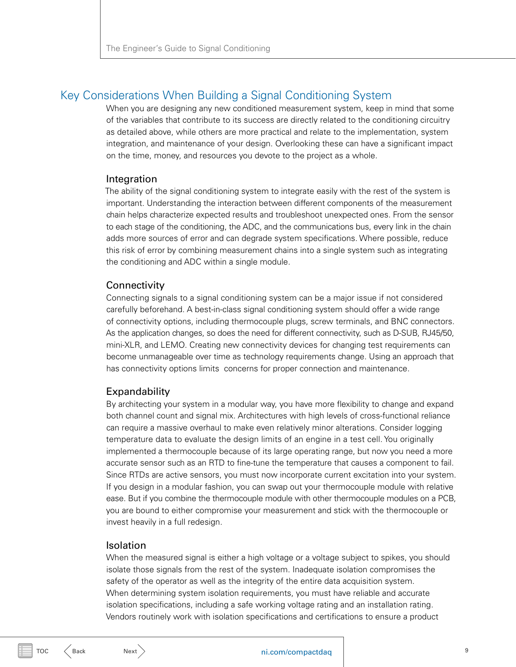# <span id="page-8-1"></span><span id="page-8-0"></span>Key Considerations When Building a Signal Conditioning System

When you are designing any new conditioned measurement system, keep in mind that some of the variables that contribute to its success are directly related to the conditioning circuitry as detailed above, while others are more practical and relate to the implementation, system integration, and maintenance of your design. Overlooking these can have a significant impact on the time, money, and resources you devote to the project as a whole.

#### Integration

The ability of the signal conditioning system to integrate easily with the rest of the system is important. Understanding the interaction between different components of the measurement chain helps characterize expected results and troubleshoot unexpected ones. From the sensor to each stage of the conditioning, the ADC, and the communications bus, every link in the chain adds more sources of error and can degrade system specifications. Where possible, reduce this risk of error by combining measurement chains into a single system such as integrating the conditioning and ADC within a single module.

#### **Connectivity**

Connecting signals to a signal conditioning system can be a major issue if not considered carefully beforehand. A best-in-class signal conditioning system should offer a wide range of connectivity options, including thermocouple plugs, screw terminals, and BNC connectors. As the application changes, so does the need for different connectivity, such as D-SUB, RJ45/50, mini-XLR, and LEMO. Creating new connectivity devices for changing test requirements can become unmanageable over time as technology requirements change. Using an approach that has connectivity options limits concerns for proper connection and maintenance.

### **Expandability**

By architecting your system in a modular way, you have more flexibility to change and expand both channel count and signal mix. Architectures with high levels of cross-functional reliance can require a massive overhaul to make even relatively minor alterations. Consider logging temperature data to evaluate the design limits of an engine in a test cell. You originally implemented a thermocouple because of its large operating range, but now you need a more accurate sensor such as an RTD to fine-tune the temperature that causes a component to fail. Since RTDs are active sensors, you must now incorporate current excitation into your system. If you design in a modular fashion, you can swap out your thermocouple module with relative ease. But if you combine the thermocouple module with other thermocouple modules on a PCB, you are bound to either compromise your measurement and stick with the thermocouple or invest heavily in a full redesign.

#### Isolation

When the measured signal is either a high voltage or a voltage subject to spikes, you should isolate those signals from the rest of the system. Inadequate isolation compromises the safety of the operator as well as the integrity of the entire data acquisition system. When determining system isolation requirements, you must have reliable and accurate isolation specifications, including a safe working voltage rating and an installation rating. Vendors routinely work with isolation specifications and certifications to ensure a product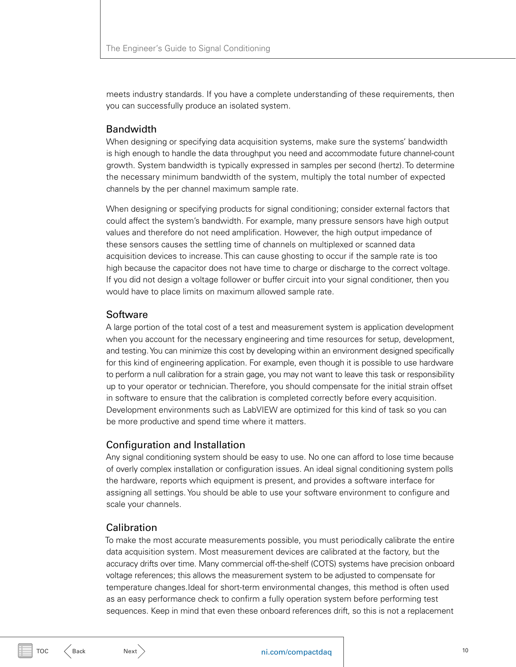<span id="page-9-0"></span>meets industry standards. If you have a complete understanding of these requirements, then you can successfully produce an isolated system.

# Bandwidth

When designing or specifying data acquisition systems, make sure the systems' bandwidth is high enough to handle the data throughput you need and accommodate future channel-count growth. System bandwidth is typically expressed in samples per second (hertz). To determine the necessary minimum bandwidth of the system, multiply the total number of expected channels by the per channel maximum sample rate.

When designing or specifying products for signal conditioning; consider external factors that could affect the system's bandwidth. For example, many pressure sensors have high output values and therefore do not need amplification. However, the high output impedance of these sensors causes the settling time of channels on multiplexed or scanned data acquisition devices to increase. This can cause ghosting to occur if the sample rate is too high because the capacitor does not have time to charge or discharge to the correct voltage. If you did not design a voltage follower or buffer circuit into your signal conditioner, then you would have to place limits on maximum allowed sample rate.

# **Software**

A large portion of the total cost of a test and measurement system is application development when you account for the necessary engineering and time resources for setup, development, and testing. You can minimize this cost by developing within an environment designed specifically for this kind of engineering application. For example, even though it is possible to use hardware to perform a null calibration for a strain gage, you may not want to leave this task or responsibility up to your operator or technician. Therefore, you should compensate for the initial strain offset in software to ensure that the calibration is completed correctly before every acquisition. Development environments such as LabVIEW are optimized for this kind of task so you can be more productive and spend time where it matters.

# Configuration and Installation

Any signal conditioning system should be easy to use. No one can afford to lose time because of overly complex installation or configuration issues. An ideal signal conditioning system polls the hardware, reports which equipment is present, and provides a software interface for assigning all settings. You should be able to use your software environment to configure and scale your channels.

# Calibration

To make the most accurate measurements possible, you must periodically calibrate the entire data acquisition system. Most measurement devices are calibrated at the factory, but the accuracy drifts over time. Many commercial off-the-shelf (COTS) systems have precision onboard voltage references; this allows the measurement system to be adjusted to compensate for temperature changes.Ideal for short-term environmental changes, this method is often used as an easy performance check to confirm a fully operation system before performing test sequences. Keep in mind that even these onboard references drift, so this is not a replacement

 $TOC \leq$  $TOC \leq$  [Back](#page-8-1) [Next](#page-10-1)  $>$  Next  $>$  10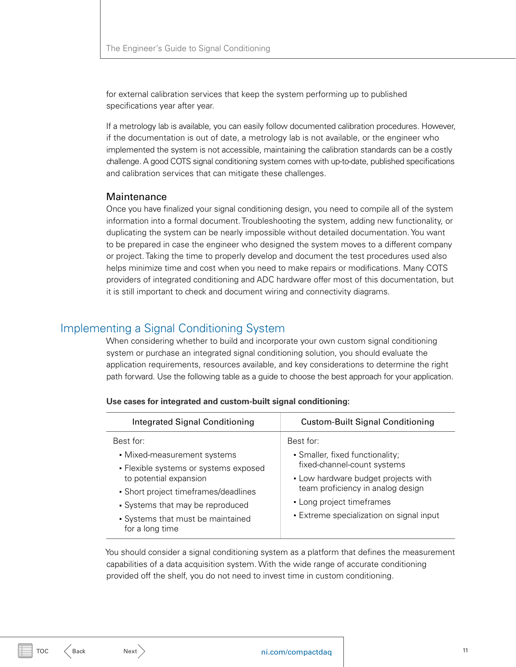<span id="page-10-1"></span>for external calibration services that keep the system performing up to published specifications year after year.

If a metrology lab is available, you can easily follow documented calibration procedures. However, if the documentation is out of date, a metrology lab is not available, or the engineer who implemented the system is not accessible, maintaining the calibration standards can be a costly challenge. A good COTS signal conditioning system comes with up-to-date, published specifications and calibration services that can mitigate these challenges.

# **Maintenance**

Once you have finalized your signal conditioning design, you need to compile all of the system information into a formal document. Troubleshooting the system, adding new functionality, or duplicating the system can be nearly impossible without detailed documentation. You want to be prepared in case the engineer who designed the system moves to a different company or project. Taking the time to properly develop and document the test procedures used also helps minimize time and cost when you need to make repairs or modifications. Many COTS providers of integrated conditioning and ADC hardware offer most of this documentation, but it is still important to check and document wiring and connectivity diagrams.

# <span id="page-10-0"></span>Implementing a Signal Conditioning System

When considering whether to build and incorporate your own custom signal conditioning system or purchase an integrated signal conditioning solution, you should evaluate the application requirements, resources available, and key considerations to determine the right path forward. Use the following table as a guide to choose the best approach for your application.

| <b>Integrated Signal Conditioning</b>                                                                                                                                                                                                           | <b>Custom-Built Signal Conditioning</b>                                                                                                                                                                                          |
|-------------------------------------------------------------------------------------------------------------------------------------------------------------------------------------------------------------------------------------------------|----------------------------------------------------------------------------------------------------------------------------------------------------------------------------------------------------------------------------------|
| Best for:<br>• Mixed-measurement systems<br>• Flexible systems or systems exposed<br>to potential expansion<br>• Short project timeframes/deadlines<br>• Systems that may be reproduced<br>• Systems that must be maintained<br>for a long time | Best for:<br>· Smaller, fixed functionality;<br>fixed-channel-count systems<br>• Low hardware budget projects with<br>team proficiency in analog design<br>• Long project timeframes<br>· Extreme specialization on signal input |

|  |  | Use cases for integrated and custom-built signal conditioning: |  |  |
|--|--|----------------------------------------------------------------|--|--|
|--|--|----------------------------------------------------------------|--|--|

You should consider a signal conditioning system as a platform that defines the measurement capabilities of a data acquisition system. With the wide range of accurate conditioning provided off the shelf, you do not need to invest time in custom conditioning.